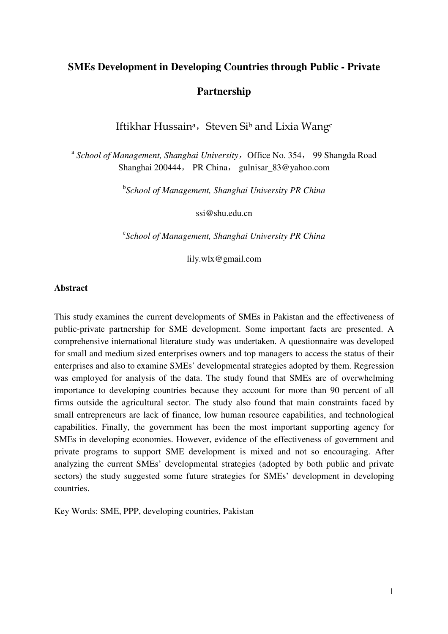# **SMEs Development in Developing Countries through Public - Private Partnership**

Iftikhar Hussain<sup>a</sup>, Steven Si<sup>b</sup> and Lixia Wangc

<sup>a</sup> School of Management, Shanghai University, Office No. 354, 99 Shangda Road Shanghai 200444, PR China, gulnisar\_83@yahoo.com

b *School of Management, Shanghai University PR China* 

ssi@shu.edu.cn

c *School of Management, Shanghai University PR China* 

lily.wlx@gmail.com

## **Abstract**

This study examines the current developments of SMEs in Pakistan and the effectiveness of public-private partnership for SME development. Some important facts are presented. A comprehensive international literature study was undertaken. A questionnaire was developed for small and medium sized enterprises owners and top managers to access the status of their enterprises and also to examine SMEs' developmental strategies adopted by them. Regression was employed for analysis of the data. The study found that SMEs are of overwhelming importance to developing countries because they account for more than 90 percent of all firms outside the agricultural sector. The study also found that main constraints faced by small entrepreneurs are lack of finance, low human resource capabilities, and technological capabilities. Finally, the government has been the most important supporting agency for SMEs in developing economies. However, evidence of the effectiveness of government and private programs to support SME development is mixed and not so encouraging. After analyzing the current SMEs' developmental strategies (adopted by both public and private sectors) the study suggested some future strategies for SMEs' development in developing countries.

Key Words: SME, PPP, developing countries, Pakistan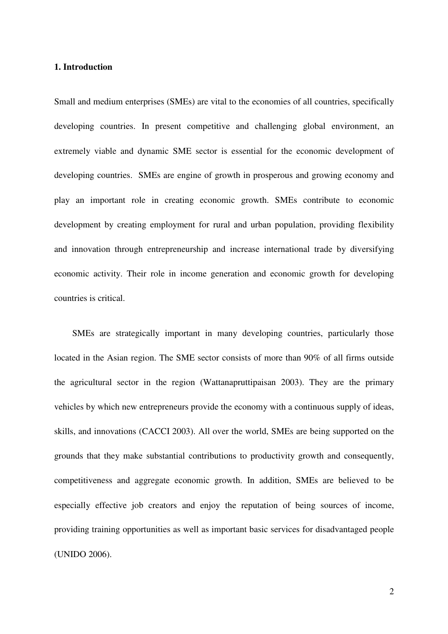# **1. Introduction**

Small and medium enterprises (SMEs) are vital to the economies of all countries, specifically developing countries. In present competitive and challenging global environment, an extremely viable and dynamic SME sector is essential for the economic development of developing countries. SMEs are engine of growth in prosperous and growing economy and play an important role in creating economic growth. SMEs contribute to economic development by creating employment for rural and urban population, providing flexibility and innovation through entrepreneurship and increase international trade by diversifying economic activity. Their role in income generation and economic growth for developing countries is critical.

SMEs are strategically important in many developing countries, particularly those located in the Asian region. The SME sector consists of more than 90% of all firms outside the agricultural sector in the region (Wattanapruttipaisan 2003). They are the primary vehicles by which new entrepreneurs provide the economy with a continuous supply of ideas, skills, and innovations (CACCI 2003). All over the world, SMEs are being supported on the grounds that they make substantial contributions to productivity growth and consequently, competitiveness and aggregate economic growth. In addition, SMEs are believed to be especially effective job creators and enjoy the reputation of being sources of income, providing training opportunities as well as important basic services for disadvantaged people (UNIDO 2006).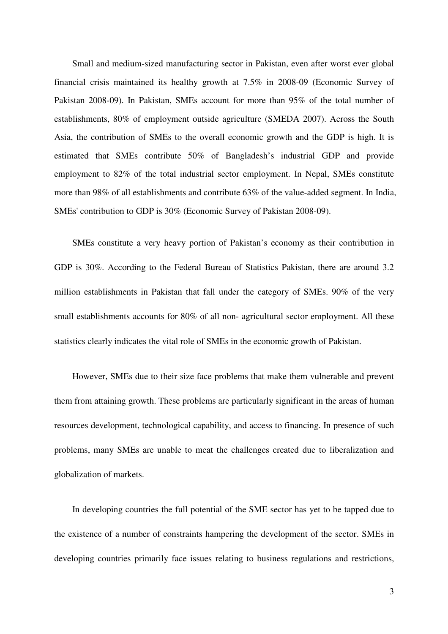Small and medium-sized manufacturing sector in Pakistan, even after worst ever global financial crisis maintained its healthy growth at 7.5% in 2008-09 (Economic Survey of Pakistan 2008-09). In Pakistan, SMEs account for more than 95% of the total number of establishments, 80% of employment outside agriculture (SMEDA 2007). Across the South Asia, the contribution of SMEs to the overall economic growth and the GDP is high. It is estimated that SMEs contribute 50% of Bangladesh's industrial GDP and provide employment to 82% of the total industrial sector employment. In Nepal, SMEs constitute more than 98% of all establishments and contribute 63% of the value-added segment. In India, SMEs' contribution to GDP is 30% (Economic Survey of Pakistan 2008-09).

SMEs constitute a very heavy portion of Pakistan's economy as their contribution in GDP is 30%. According to the Federal Bureau of Statistics Pakistan, there are around 3.2 million establishments in Pakistan that fall under the category of SMEs. 90% of the very small establishments accounts for 80% of all non- agricultural sector employment. All these statistics clearly indicates the vital role of SMEs in the economic growth of Pakistan.

However, SMEs due to their size face problems that make them vulnerable and prevent them from attaining growth. These problems are particularly significant in the areas of human resources development, technological capability, and access to financing. In presence of such problems, many SMEs are unable to meat the challenges created due to liberalization and globalization of markets.

In developing countries the full potential of the SME sector has yet to be tapped due to the existence of a number of constraints hampering the development of the sector. SMEs in developing countries primarily face issues relating to business regulations and restrictions,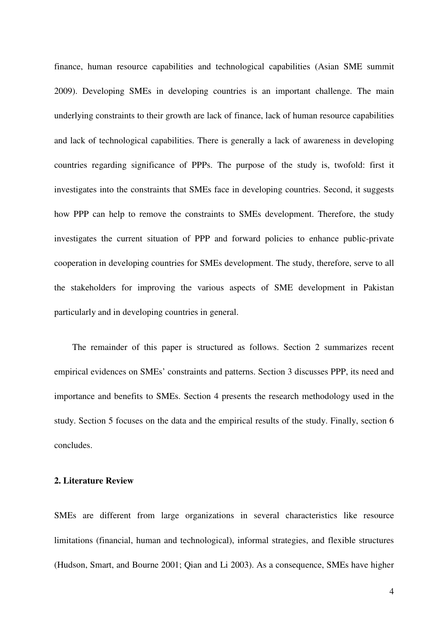finance, human resource capabilities and technological capabilities (Asian SME summit 2009). Developing SMEs in developing countries is an important challenge. The main underlying constraints to their growth are lack of finance, lack of human resource capabilities and lack of technological capabilities. There is generally a lack of awareness in developing countries regarding significance of PPPs. The purpose of the study is, twofold: first it investigates into the constraints that SMEs face in developing countries. Second, it suggests how PPP can help to remove the constraints to SMEs development. Therefore, the study investigates the current situation of PPP and forward policies to enhance public-private cooperation in developing countries for SMEs development. The study, therefore, serve to all the stakeholders for improving the various aspects of SME development in Pakistan particularly and in developing countries in general.

The remainder of this paper is structured as follows. Section 2 summarizes recent empirical evidences on SMEs' constraints and patterns. Section 3 discusses PPP, its need and importance and benefits to SMEs. Section 4 presents the research methodology used in the study. Section 5 focuses on the data and the empirical results of the study. Finally, section 6 concludes.

### **2. Literature Review**

SMEs are different from large organizations in several characteristics like resource limitations (financial, human and technological), informal strategies, and flexible structures (Hudson, Smart, and Bourne 2001; Qian and Li 2003). As a consequence, SMEs have higher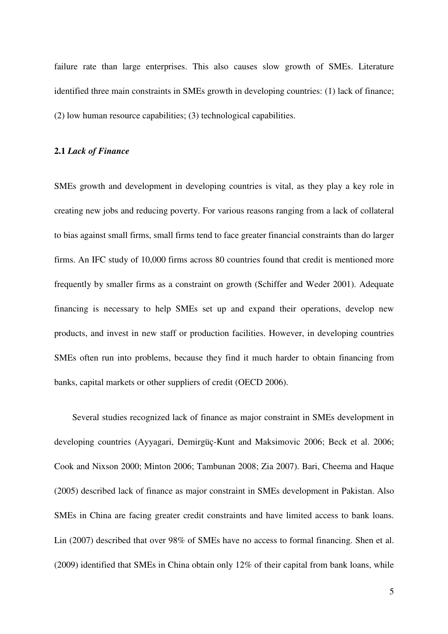failure rate than large enterprises. This also causes slow growth of SMEs. Literature identified three main constraints in SMEs growth in developing countries: (1) lack of finance; (2) low human resource capabilities; (3) technological capabilities.

# **2.1** *Lack of Finance*

SMEs growth and development in developing countries is vital, as they play a key role in creating new jobs and reducing poverty. For various reasons ranging from a lack of collateral to bias against small firms, small firms tend to face greater financial constraints than do larger firms. An IFC study of 10,000 firms across 80 countries found that credit is mentioned more frequently by smaller firms as a constraint on growth (Schiffer and Weder 2001). Adequate financing is necessary to help SMEs set up and expand their operations, develop new products, and invest in new staff or production facilities. However, in developing countries SMEs often run into problems, because they find it much harder to obtain financing from banks, capital markets or other suppliers of credit (OECD 2006).

Several studies recognized lack of finance as major constraint in SMEs development in developing countries (Ayyagari, Demirgüç-Kunt and Maksimovic 2006; Beck et al. 2006; Cook and Nixson 2000; Minton 2006; Tambunan 2008; Zia 2007). Bari, Cheema and Haque (2005) described lack of finance as major constraint in SMEs development in Pakistan. Also SMEs in China are facing greater credit constraints and have limited access to bank loans. Lin (2007) described that over 98% of SMEs have no access to formal financing. Shen et al. (2009) identified that SMEs in China obtain only 12% of their capital from bank loans, while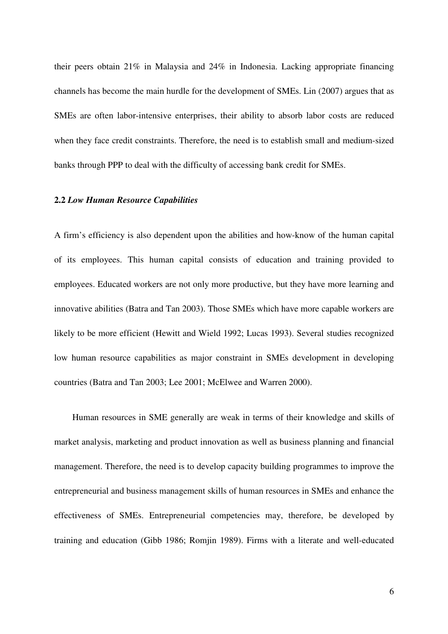their peers obtain 21% in Malaysia and 24% in Indonesia. Lacking appropriate financing channels has become the main hurdle for the development of SMEs. Lin (2007) argues that as SMEs are often labor-intensive enterprises, their ability to absorb labor costs are reduced when they face credit constraints. Therefore, the need is to establish small and medium-sized banks through PPP to deal with the difficulty of accessing bank credit for SMEs.

## **2.2** *Low Human Resource Capabilities*

A firm's efficiency is also dependent upon the abilities and how-know of the human capital of its employees. This human capital consists of education and training provided to employees. Educated workers are not only more productive, but they have more learning and innovative abilities (Batra and Tan 2003). Those SMEs which have more capable workers are likely to be more efficient (Hewitt and Wield 1992; Lucas 1993). Several studies recognized low human resource capabilities as major constraint in SMEs development in developing countries (Batra and Tan 2003; Lee 2001; McElwee and Warren 2000).

Human resources in SME generally are weak in terms of their knowledge and skills of market analysis, marketing and product innovation as well as business planning and financial management. Therefore, the need is to develop capacity building programmes to improve the entrepreneurial and business management skills of human resources in SMEs and enhance the effectiveness of SMEs. Entrepreneurial competencies may, therefore, be developed by training and education (Gibb 1986; Romjin 1989). Firms with a literate and well-educated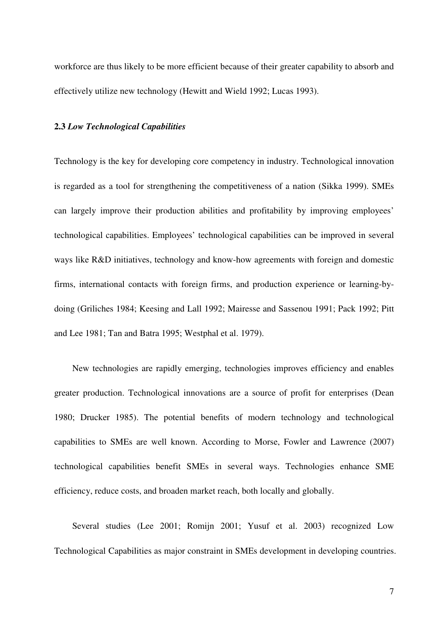workforce are thus likely to be more efficient because of their greater capability to absorb and effectively utilize new technology (Hewitt and Wield 1992; Lucas 1993).

### **2.3** *Low Technological Capabilities*

Technology is the key for developing core competency in industry. Technological innovation is regarded as a tool for strengthening the competitiveness of a nation (Sikka 1999). SMEs can largely improve their production abilities and profitability by improving employees' technological capabilities. Employees' technological capabilities can be improved in several ways like R&D initiatives, technology and know-how agreements with foreign and domestic firms, international contacts with foreign firms, and production experience or learning-bydoing (Griliches 1984; Keesing and Lall 1992; Mairesse and Sassenou 1991; Pack 1992; Pitt and Lee 1981; Tan and Batra 1995; Westphal et al. 1979).

New technologies are rapidly emerging, technologies improves efficiency and enables greater production. Technological innovations are a source of profit for enterprises (Dean 1980; Drucker 1985). The potential benefits of modern technology and technological capabilities to SMEs are well known. According to Morse, Fowler and Lawrence (2007) technological capabilities benefit SMEs in several ways. Technologies enhance SME efficiency, reduce costs, and broaden market reach, both locally and globally.

Several studies (Lee 2001; Romijn 2001; Yusuf et al. 2003) recognized Low Technological Capabilities as major constraint in SMEs development in developing countries.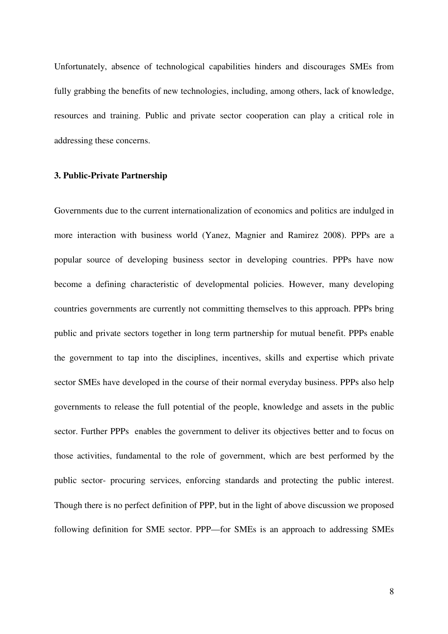Unfortunately, absence of technological capabilities hinders and discourages SMEs from fully grabbing the benefits of new technologies, including, among others, lack of knowledge, resources and training. Public and private sector cooperation can play a critical role in addressing these concerns.

# **3. Public-Private Partnership**

Governments due to the current internationalization of economics and politics are indulged in more interaction with business world (Yanez, Magnier and Ramirez 2008). PPPs are a popular source of developing business sector in developing countries. PPPs have now become a defining characteristic of developmental policies. However, many developing countries governments are currently not committing themselves to this approach. PPPs bring public and private sectors together in long term partnership for mutual benefit. PPPs enable the government to tap into the disciplines, incentives, skills and expertise which private sector SMEs have developed in the course of their normal everyday business. PPPs also help governments to release the full potential of the people, knowledge and assets in the public sector. Further PPPs enables the government to deliver its objectives better and to focus on those activities, fundamental to the role of government, which are best performed by the public sector- procuring services, enforcing standards and protecting the public interest. Though there is no perfect definition of PPP, but in the light of above discussion we proposed following definition for SME sector. PPP—for SMEs is an approach to addressing SMEs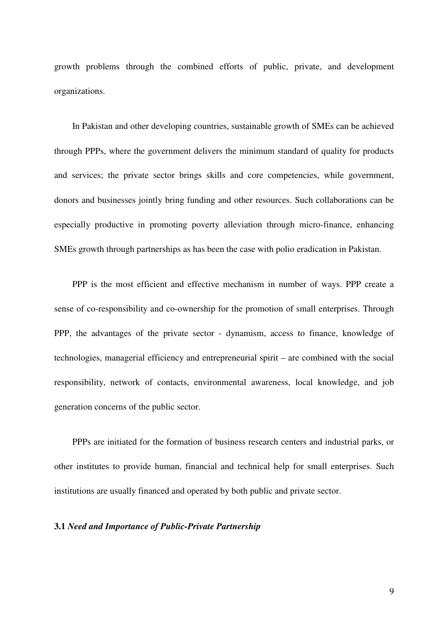growth problems through the combined efforts of public, private, and development organizations.

In Pakistan and other developing countries, sustainable growth of SMEs can be achieved through PPPs, where the government delivers the minimum standard of quality for products and services; the private sector brings skills and core competencies, while government, donors and businesses jointly bring funding and other resources. Such collaborations can be especially productive in promoting poverty alleviation through micro-finance, enhancing SMEs growth through partnerships as has been the case with polio eradication in Pakistan.

PPP is the most efficient and effective mechanism in number of ways. PPP create a sense of co-responsibility and co-ownership for the promotion of small enterprises. Through PPP, the advantages of the private sector - dynamism, access to finance, knowledge of technologies, managerial efficiency and entrepreneurial spirit – are combined with the social responsibility, network of contacts, environmental awareness, local knowledge, and job generation concerns of the public sector.

PPPs are initiated for the formation of business research centers and industrial parks, or other institutes to provide human, financial and technical help for small enterprises. Such institutions are usually financed and operated by both public and private sector.

# **3.1** *Need and Importance of Public-Private Partnership*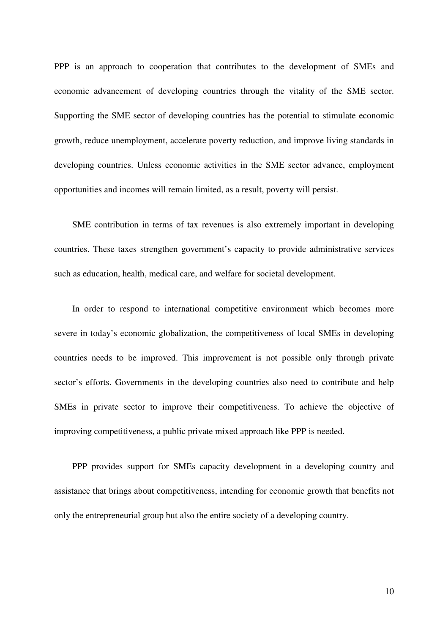PPP is an approach to cooperation that contributes to the development of SMEs and economic advancement of developing countries through the vitality of the SME sector. Supporting the SME sector of developing countries has the potential to stimulate economic growth, reduce unemployment, accelerate poverty reduction, and improve living standards in developing countries. Unless economic activities in the SME sector advance, employment opportunities and incomes will remain limited, as a result, poverty will persist.

SME contribution in terms of tax revenues is also extremely important in developing countries. These taxes strengthen government's capacity to provide administrative services such as education, health, medical care, and welfare for societal development.

In order to respond to international competitive environment which becomes more severe in today's economic globalization, the competitiveness of local SMEs in developing countries needs to be improved. This improvement is not possible only through private sector's efforts. Governments in the developing countries also need to contribute and help SMEs in private sector to improve their competitiveness. To achieve the objective of improving competitiveness, a public private mixed approach like PPP is needed.

PPP provides support for SMEs capacity development in a developing country and assistance that brings about competitiveness, intending for economic growth that benefits not only the entrepreneurial group but also the entire society of a developing country.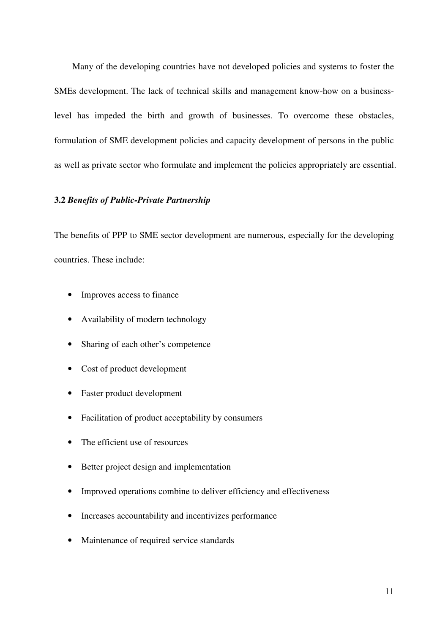Many of the developing countries have not developed policies and systems to foster the SMEs development. The lack of technical skills and management know-how on a businesslevel has impeded the birth and growth of businesses. To overcome these obstacles, formulation of SME development policies and capacity development of persons in the public as well as private sector who formulate and implement the policies appropriately are essential.

# **3.2** *Benefits of Public-Private Partnership*

The benefits of PPP to SME sector development are numerous, especially for the developing countries. These include:

- Improves access to finance
- Availability of modern technology
- Sharing of each other's competence
- Cost of product development
- Faster product development
- Facilitation of product acceptability by consumers
- The efficient use of resources
- Better project design and implementation
- Improved operations combine to deliver efficiency and effectiveness
- Increases accountability and incentivizes performance
- Maintenance of required service standards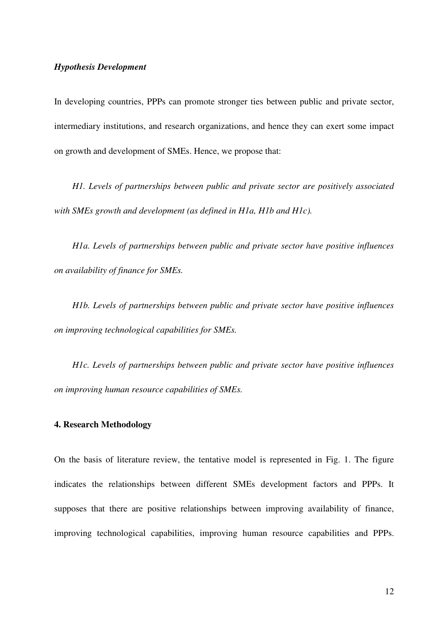# *Hypothesis Development*

In developing countries, PPPs can promote stronger ties between public and private sector, intermediary institutions, and research organizations, and hence they can exert some impact on growth and development of SMEs. Hence, we propose that:

*H1. Levels of partnerships between public and private sector are positively associated with SMEs growth and development (as defined in H1a, H1b and H1c).* 

*H1a. Levels of partnerships between public and private sector have positive influences on availability of finance for SMEs.* 

*H1b. Levels of partnerships between public and private sector have positive influences on improving technological capabilities for SMEs.* 

*H1c. Levels of partnerships between public and private sector have positive influences on improving human resource capabilities of SMEs.* 

# **4. Research Methodology**

On the basis of literature review, the tentative model is represented in Fig. 1. The figure indicates the relationships between different SMEs development factors and PPPs. It supposes that there are positive relationships between improving availability of finance, improving technological capabilities, improving human resource capabilities and PPPs.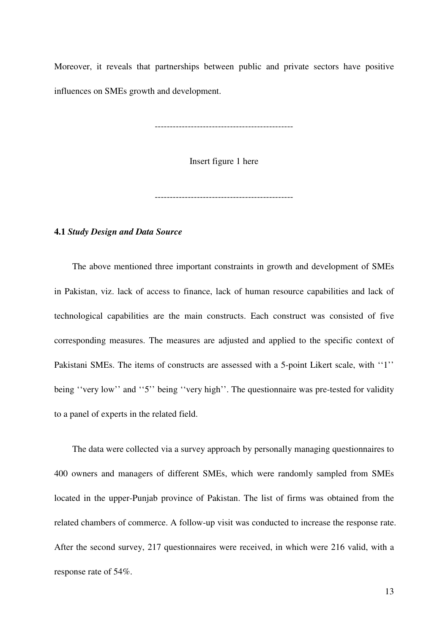Moreover, it reveals that partnerships between public and private sectors have positive influences on SMEs growth and development.

----------------------------------------------

Insert figure 1 here

----------------------------------------------

## **4.1** *Study Design and Data Source*

The above mentioned three important constraints in growth and development of SMEs in Pakistan, viz. lack of access to finance, lack of human resource capabilities and lack of technological capabilities are the main constructs. Each construct was consisted of five corresponding measures. The measures are adjusted and applied to the specific context of Pakistani SMEs. The items of constructs are assessed with a 5-point Likert scale, with ''1'' being "very low" and "5" being "very high". The questionnaire was pre-tested for validity to a panel of experts in the related field.

The data were collected via a survey approach by personally managing questionnaires to 400 owners and managers of different SMEs, which were randomly sampled from SMEs located in the upper-Punjab province of Pakistan. The list of firms was obtained from the related chambers of commerce. A follow-up visit was conducted to increase the response rate. After the second survey, 217 questionnaires were received, in which were 216 valid, with a response rate of 54%.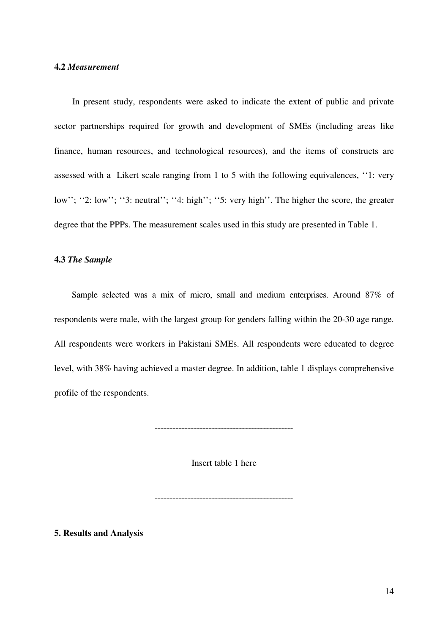# **4.2** *Measurement*

In present study, respondents were asked to indicate the extent of public and private sector partnerships required for growth and development of SMEs (including areas like finance, human resources, and technological resources), and the items of constructs are assessed with a Likert scale ranging from 1 to 5 with the following equivalences, ''1: very low"; "2: low"; "3: neutral"; "4: high"; "5: very high". The higher the score, the greater degree that the PPPs. The measurement scales used in this study are presented in Table 1.

# **4.3** *The Sample*

Sample selected was a mix of micro, small and medium enterprises. Around 87% of respondents were male, with the largest group for genders falling within the 20-30 age range. All respondents were workers in Pakistani SMEs. All respondents were educated to degree level, with 38% having achieved a master degree. In addition, table 1 displays comprehensive profile of the respondents.

----------------------------------------------

Insert table 1 here

----------------------------------------------

**5. Results and Analysis**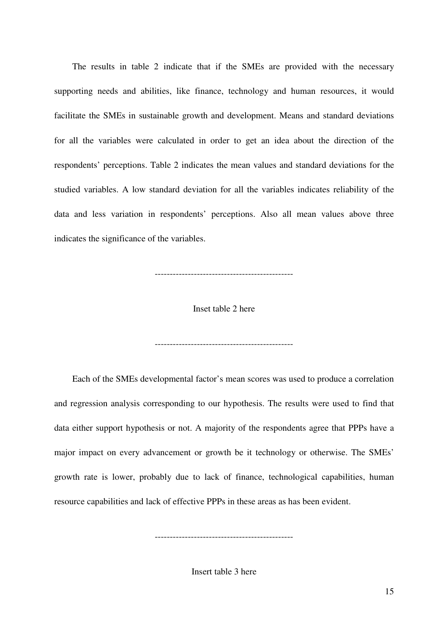The results in table 2 indicate that if the SMEs are provided with the necessary supporting needs and abilities, like finance, technology and human resources, it would facilitate the SMEs in sustainable growth and development. Means and standard deviations for all the variables were calculated in order to get an idea about the direction of the respondents' perceptions. Table 2 indicates the mean values and standard deviations for the studied variables. A low standard deviation for all the variables indicates reliability of the data and less variation in respondents' perceptions. Also all mean values above three indicates the significance of the variables.

----------------------------------------------

Inset table 2 here

----------------------------------------------

Each of the SMEs developmental factor's mean scores was used to produce a correlation and regression analysis corresponding to our hypothesis. The results were used to find that data either support hypothesis or not. A majority of the respondents agree that PPPs have a major impact on every advancement or growth be it technology or otherwise. The SMEs' growth rate is lower, probably due to lack of finance, technological capabilities, human resource capabilities and lack of effective PPPs in these areas as has been evident.

Insert table 3 here

----------------------------------------------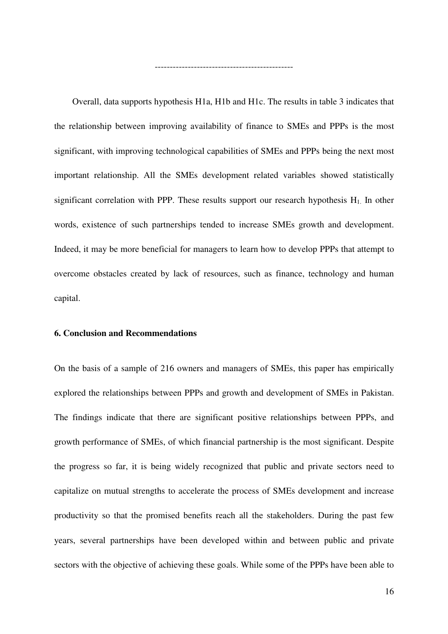Overall, data supports hypothesis H1a, H1b and H1c. The results in table 3 indicates that the relationship between improving availability of finance to SMEs and PPPs is the most significant, with improving technological capabilities of SMEs and PPPs being the next most important relationship. All the SMEs development related variables showed statistically significant correlation with PPP. These results support our research hypothesis  $H_1$ . In other words, existence of such partnerships tended to increase SMEs growth and development. Indeed, it may be more beneficial for managers to learn how to develop PPPs that attempt to overcome obstacles created by lack of resources, such as finance, technology and human capital.

----------------------------------------------

# **6. Conclusion and Recommendations**

On the basis of a sample of 216 owners and managers of SMEs, this paper has empirically explored the relationships between PPPs and growth and development of SMEs in Pakistan. The findings indicate that there are significant positive relationships between PPPs, and growth performance of SMEs, of which financial partnership is the most significant. Despite the progress so far, it is being widely recognized that public and private sectors need to capitalize on mutual strengths to accelerate the process of SMEs development and increase productivity so that the promised benefits reach all the stakeholders. During the past few years, several partnerships have been developed within and between public and private sectors with the objective of achieving these goals. While some of the PPPs have been able to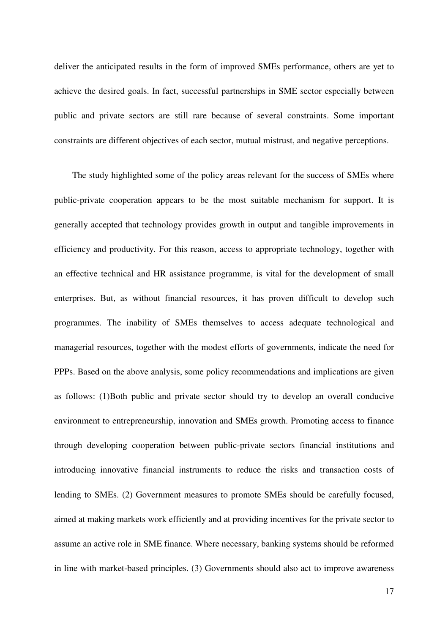deliver the anticipated results in the form of improved SMEs performance, others are yet to achieve the desired goals. In fact, successful partnerships in SME sector especially between public and private sectors are still rare because of several constraints. Some important constraints are different objectives of each sector, mutual mistrust, and negative perceptions.

The study highlighted some of the policy areas relevant for the success of SMEs where public-private cooperation appears to be the most suitable mechanism for support. It is generally accepted that technology provides growth in output and tangible improvements in efficiency and productivity. For this reason, access to appropriate technology, together with an effective technical and HR assistance programme, is vital for the development of small enterprises. But, as without financial resources, it has proven difficult to develop such programmes. The inability of SMEs themselves to access adequate technological and managerial resources, together with the modest efforts of governments, indicate the need for PPPs. Based on the above analysis, some policy recommendations and implications are given as follows: (1)Both public and private sector should try to develop an overall conducive environment to entrepreneurship, innovation and SMEs growth. Promoting access to finance through developing cooperation between public-private sectors financial institutions and introducing innovative financial instruments to reduce the risks and transaction costs of lending to SMEs. (2) Government measures to promote SMEs should be carefully focused, aimed at making markets work efficiently and at providing incentives for the private sector to assume an active role in SME finance. Where necessary, banking systems should be reformed in line with market-based principles. (3) Governments should also act to improve awareness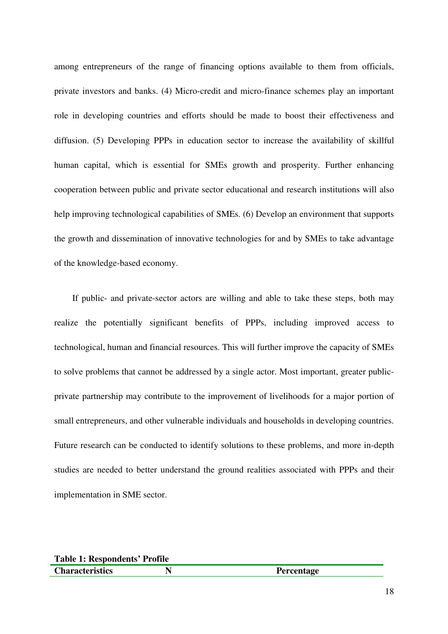among entrepreneurs of the range of financing options available to them from officials, private investors and banks. (4) Micro-credit and micro-finance schemes play an important role in developing countries and efforts should be made to boost their effectiveness and diffusion. (5) Developing PPPs in education sector to increase the availability of skillful human capital, which is essential for SMEs growth and prosperity. Further enhancing cooperation between public and private sector educational and research institutions will also help improving technological capabilities of SMEs. (6) Develop an environment that supports the growth and dissemination of innovative technologies for and by SMEs to take advantage of the knowledge-based economy.

If public- and private-sector actors are willing and able to take these steps, both may realize the potentially significant benefits of PPPs, including improved access to technological, human and financial resources. This will further improve the capacity of SMEs to solve problems that cannot be addressed by a single actor. Most important, greater publicprivate partnership may contribute to the improvement of livelihoods for a major portion of small entrepreneurs, and other vulnerable individuals and households in developing countries. Future research can be conducted to identify solutions to these problems, and more in-depth studies are needed to better understand the ground realities associated with PPPs and their implementation in SME sector.

| <b>Table 1: Respondents' Profile</b> |  |                   |  |  |
|--------------------------------------|--|-------------------|--|--|
| <b>Characteristics</b>               |  | <b>Percentage</b> |  |  |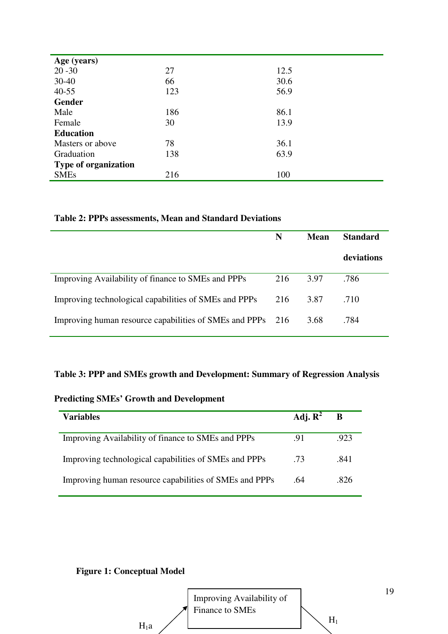| Age (years)                 |     |      |
|-----------------------------|-----|------|
| $20 - 30$                   | 27  | 12.5 |
| $30 - 40$                   | 66  | 30.6 |
| $40 - 55$                   | 123 | 56.9 |
| Gender                      |     |      |
| Male                        | 186 | 86.1 |
| Female                      | 30  | 13.9 |
| <b>Education</b>            |     |      |
| Masters or above            | 78  | 36.1 |
| Graduation                  | 138 | 63.9 |
| <b>Type of organization</b> |     |      |
| <b>SMEs</b>                 | 216 | 100  |

# **Table 2: PPPs assessments, Mean and Standard Deviations**

|                                                            | N   | Mean | <b>Standard</b> |
|------------------------------------------------------------|-----|------|-----------------|
|                                                            |     |      | deviations      |
| Improving Availability of finance to SMEs and PPPs         | 216 | 3.97 | .786            |
| Improving technological capabilities of SMEs and PPPs      | 216 | 3.87 | .710            |
| Improving human resource capabilities of SMEs and PPPs 216 |     | 3.68 | .784            |

# **Table 3: PPP and SMEs growth and Development: Summary of Regression Analysis**

# **Predicting SMEs' Growth and Development**

| <b>Variables</b>                                       | Adj. $\mathbf{R}^2$ | B    |
|--------------------------------------------------------|---------------------|------|
| Improving Availability of finance to SMEs and PPPs     | .91                 | .923 |
| Improving technological capabilities of SMEs and PPPs  | .73                 | .841 |
| Improving human resource capabilities of SMEs and PPPs | .64                 | -826 |

# **Figure 1: Conceptual Model**

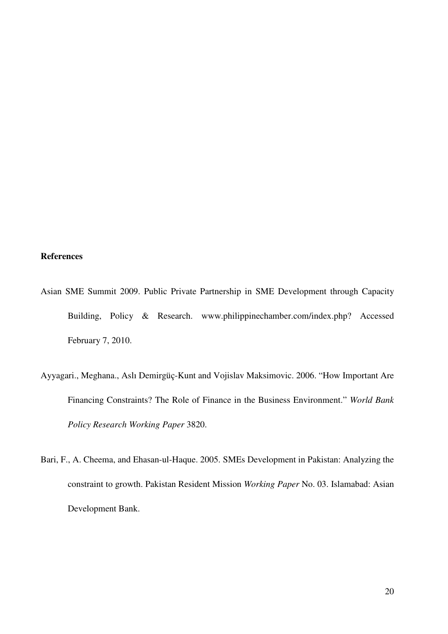# **References**

- Asian SME Summit 2009. Public Private Partnership in SME Development through Capacity Building, Policy & Research. www.philippinechamber.com/index.php? Accessed February 7, 2010.
- Ayyagari., Meghana., Aslı Demirgüç-Kunt and Vojislav Maksimovic. 2006. "How Important Are Financing Constraints? The Role of Finance in the Business Environment." *World Bank Policy Research Working Paper* 3820.
- Bari, F., A. Cheema, and Ehasan-ul-Haque. 2005. SMEs Development in Pakistan: Analyzing the constraint to growth. Pakistan Resident Mission *Working Paper* No. 03. Islamabad: Asian Development Bank.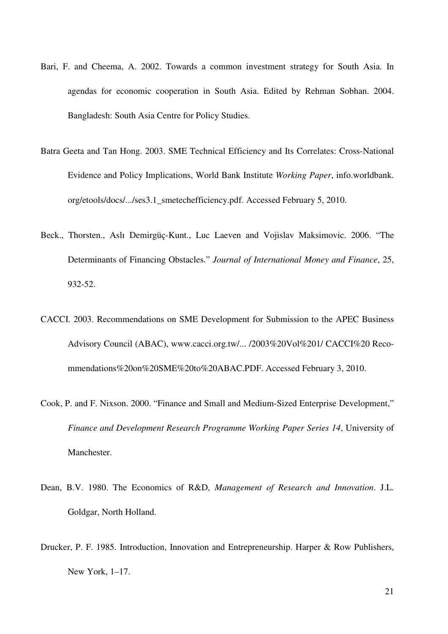- Bari, F. and Cheema, A. 2002. Towards a common investment strategy for South Asia. In agendas for economic cooperation in South Asia. Edited by Rehman Sobhan. 2004. Bangladesh: South Asia Centre for Policy Studies.
- Batra Geeta and Tan Hong. 2003. SME Technical Efficiency and Its Correlates: Cross-National Evidence and Policy Implications, World Bank Institute *Working Paper*, info.worldbank. org/etools/docs/.../ses3.1\_smetechefficiency.pdf. Accessed February 5, 2010.
- Beck., Thorsten., Aslı Demirgüç-Kunt., Luc Laeven and Vojislav Maksimovic. 2006. "The Determinants of Financing Obstacles." *Journal of International Money and Finance*, 25, 932-52.
- CACCI. 2003. Recommendations on SME Development for Submission to the APEC Business Advisory Council (ABAC), www.cacci.org.tw/... /2003%20Vol%201/ CACCI%20 Recommendations%20on%20SME%20to%20ABAC.PDF. Accessed February 3, 2010.
- Cook, P. and F. Nixson. 2000. "Finance and Small and Medium-Sized Enterprise Development," *Finance and Development Research Programme Working Paper Series 14*, University of Manchester.
- Dean, B.V. 1980. The Economics of R&D, *Management of Research and Innovation*. J.L. Goldgar, North Holland.
- Drucker, P. F. 1985. Introduction, Innovation and Entrepreneurship. Harper & Row Publishers, New York, 1–17.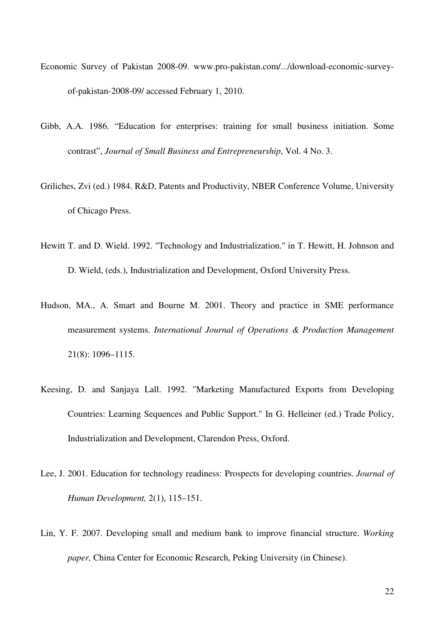- Economic Survey of Pakistan 2008-09. www.pro-pakistan.com/.../download-economic-surveyof-pakistan-2008-09/ accessed February 1, 2010.
- Gibb, A.A. 1986. "Education for enterprises: training for small business initiation. Some contrast", *Journal of Small Business and Entrepreneurship*, Vol. 4 No. 3.
- Griliches, Zvi (ed.) 1984. R&D, Patents and Productivity, NBER Conference Volume, University of Chicago Press.
- Hewitt T. and D. Wield. 1992. "Technology and Industrialization." in T. Hewitt, H. Johnson and D. Wield, (eds.), Industrialization and Development, Oxford University Press.
- Hudson, MA., A. Smart and Bourne M. 2001. Theory and practice in SME performance measurement systems. *International Journal of Operations & Production Management*  21(8): 1096–1115.
- Keesing, D. and Sanjaya Lall. 1992. "Marketing Manufactured Exports from Developing Countries: Learning Sequences and Public Support." In G. Helleiner (ed.) Trade Policy, Industrialization and Development, Clarendon Press, Oxford.
- Lee, J. 2001. Education for technology readiness: Prospects for developing countries. *Journal of Human Development,* 2(1), 115–151.
- Lin, Y. F. 2007. Developing small and medium bank to improve financial structure. *Working paper,* China Center for Economic Research, Peking University (in Chinese).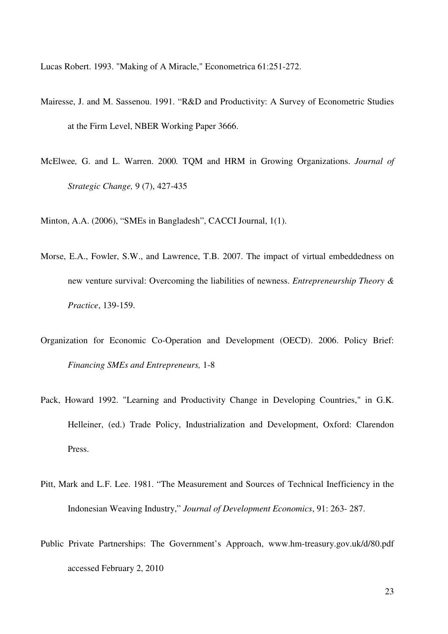Lucas Robert. 1993. "Making of A Miracle," Econometrica 61:251-272.

- Mairesse, J. and M. Sassenou. 1991. "R&D and Productivity: A Survey of Econometric Studies at the Firm Level, NBER Working Paper 3666.
- McElwee*,* G. and L. Warren. 2000*.* TQM and HRM in Growing Organizations. *Journal of Strategic Change,* 9 (7), 427-435

Minton, A.A. (2006), "SMEs in Bangladesh", CACCI Journal, 1(1).

- Morse, E.A., Fowler, S.W., and Lawrence, T.B. 2007. The impact of virtual embeddedness on new venture survival: Overcoming the liabilities of newness. *Entrepreneurship Theory & Practice*, 139-159.
- Organization for Economic Co-Operation and Development (OECD). 2006. Policy Brief: *Financing SMEs and Entrepreneurs,* 1-8
- Pack, Howard 1992. "Learning and Productivity Change in Developing Countries," in G.K. Helleiner, (ed.) Trade Policy, Industrialization and Development, Oxford: Clarendon Press.
- Pitt, Mark and L.F. Lee. 1981. "The Measurement and Sources of Technical Inefficiency in the Indonesian Weaving Industry," *Journal of Development Economics*, 91: 263- 287.
- Public Private Partnerships: The Government's Approach, www.hm-treasury.gov.uk/d/80.pdf accessed February 2, 2010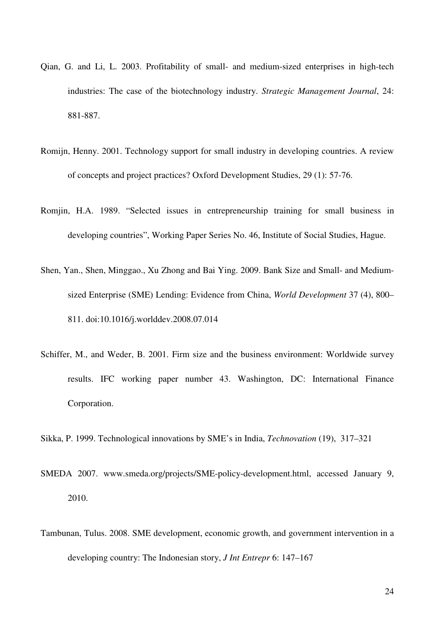- Qian, G. and Li, L. 2003. Profitability of small- and medium-sized enterprises in high-tech industries: The case of the biotechnology industry. *Strategic Management Journal*, 24: 881-887.
- Romijn, Henny. 2001. Technology support for small industry in developing countries. A review of concepts and project practices? Oxford Development Studies, 29 (1): 57-76.
- Romjin, H.A. 1989. "Selected issues in entrepreneurship training for small business in developing countries", Working Paper Series No. 46, Institute of Social Studies, Hague.
- Shen, Yan., Shen, Minggao., Xu Zhong and Bai Ying. 2009. Bank Size and Small- and Mediumsized Enterprise (SME) Lending: Evidence from China, *World Development* 37 (4), 800– 811. doi:10.1016/j.worlddev.2008.07.014
- Schiffer, M., and Weder, B. 2001. Firm size and the business environment: Worldwide survey results. IFC working paper number 43. Washington, DC: International Finance Corporation.
- Sikka, P. 1999. Technological innovations by SME's in India, *Technovation* (19), 317–321
- SMEDA 2007. www.smeda.org/projects/SME-policy-development.html, accessed January 9, 2010.
- Tambunan, Tulus. 2008. SME development, economic growth, and government intervention in a developing country: The Indonesian story, *J Int Entrepr* 6: 147–167